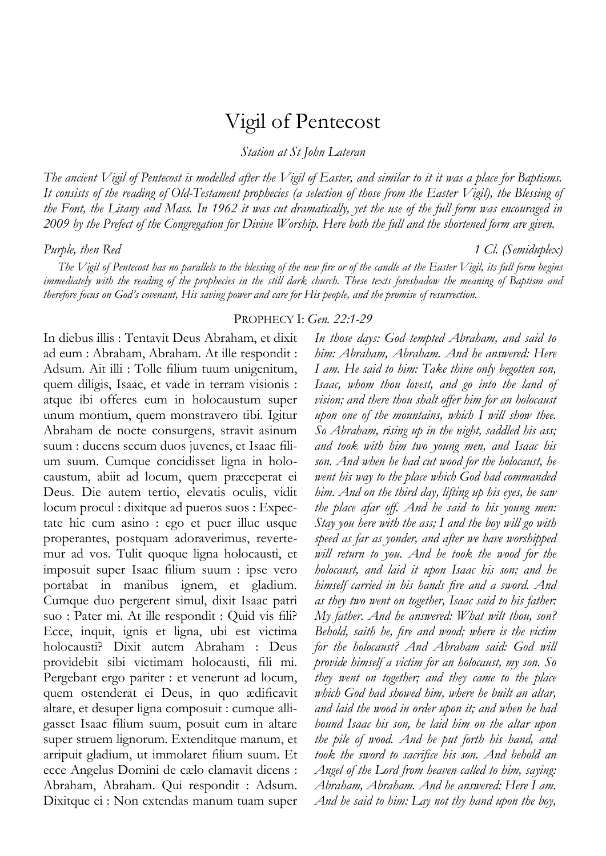# Vigil of Pentecost

*Station at St John Lateran*

*The ancient Vigil of Pentecost is modelled after the Vigil of Easter, and similar to it it was a place for Baptisms. It consists of the reading of Old-Testament prophecies (a selection of those from the Easter Vigil), the Blessing of the Font, the Litany and Mass. In 1962 it was cut dramatically, yet the use of the full form was encouraged in 2009 by the Prefect of the Congregation for Divine Worship. Here both the full and the shortened form are given.* 

*Purple, then Red 1 Cl. (Semiduplex)*

*The Vigil of Pentecost has no parallels to the blessing of the new fire or of the candle at the Easter Vigil, its full form begins immediately with the reading of the prophecies in the still dark church. These texts foreshadow the meaning of Baptism and therefore focus on God's covenant, His saving power and care for His people, and the promise of resurrection.* 

# PROPHECY I: *Gen. 22:1-29*

In diebus illis : Tentavit Deus Abraham, et dixit ad eum : Abraham, Abraham. At ille respondit : Adsum. Ait illi : Tolle filium tuum unigenitum, quem diligis, Isaac, et vade in terram visionis : atque ibi offeres eum in holocaustum super unum montium, quem monstravero tibi. Igitur Abraham de nocte consurgens, stravit asinum suum : ducens secum duos juvenes, et Isaac filium suum. Cumque concidisset ligna in holocaustum, abiit ad locum, quem præceperat ei Deus. Die autem tertio, elevatis oculis, vidit locum procul : dixitque ad pueros suos : Expectate hic cum asino : ego et puer illuc usque properantes, postquam adoraverimus, revertemur ad vos. Tulit quoque ligna holocausti, et imposuit super Isaac filium suum : ipse vero portabat in manibus ignem, et gladium. Cumque duo pergerent simul, dixit Isaac patri suo : Pater mi. At ille respondit : Quid vis fili? Ecce, inquit, ignis et ligna, ubi est victima holocausti? Dixit autem Abraham : Deus providebit sibi victimam holocausti, fili mi. Pergebant ergo pariter : et venerunt ad locum, quem ostenderat ei Deus, in quo ædificavit altare, et desuper ligna composuit : cumque alligasset Isaac filium suum, posuit eum in altare super struem lignorum. Extenditque manum, et arripuit gladium, ut immolaret filium suum. Et ecce Angelus Domini de cælo clamavit dicens : Abraham, Abraham. Qui respondit : Adsum. Dixitque ei : Non extendas manum tuam super

*In those days: God tempted Abraham, and said to him: Abraham, Abraham. And he answered: Here I am. He said to him: Take thine only begotten son, Isaac, whom thou lovest, and go into the land of vision; and there thou shalt offer him for an holocaust upon one of the mountains, which I will show thee. So Abraham, rising up in the night, saddled his ass; and took with him two young men, and Isaac his son. And when he had cut wood for the holocaust, he went his way to the place which God had commanded him. And on the third day, lifting up his eyes, he saw the place afar off. And he said to his young men: Stay you here with the ass; I and the boy will go with speed as far as yonder, and after we have worshipped will return to you. And he took the wood for the holocaust, and laid it upon Isaac his son; and he himself carried in his hands fire and a sword. And as they two went on together, Isaac said to his father: My father. And he answered: What wilt thou, son? Behold, saith he, fire and wood; where is the victim for the holocaust? And Abraham said: God will provide himself a victim for an holocaust, my son. So they went on together; and they came to the place which God had showed him, where he built an altar, and laid the wood in order upon it; and when he had bound Isaac his son, he laid him on the altar upon the pile of wood. And he put forth his hand, and took the sword to sacrifice his son. And behold an Angel of the Lord from heaven called to him, saying: Abraham, Abraham. And he answered: Here I am. And he said to him: Lay not thy hand upon the boy,*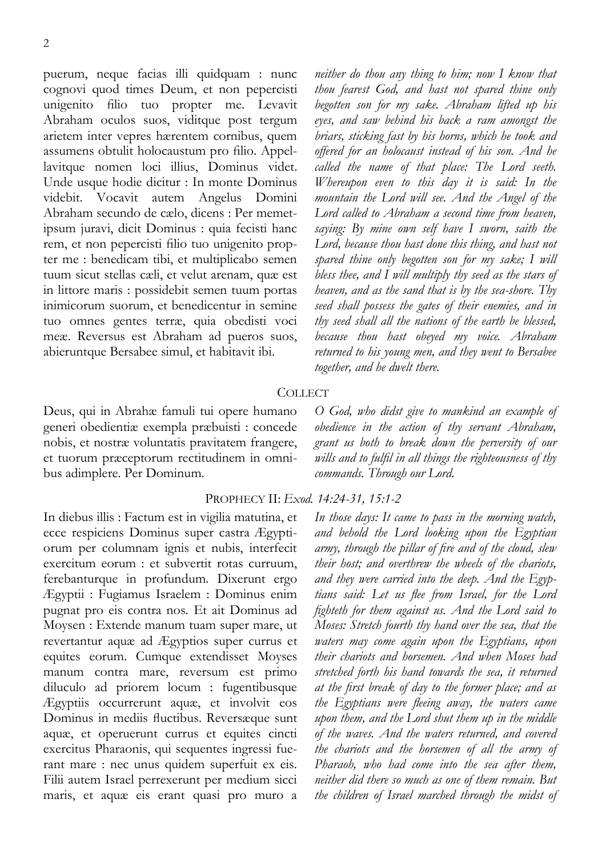puerum, neque facias illi quidquam : nunc cognovi quod times Deum, et non pepercisti unigenito filio tuo propter me. Levavit Abraham oculos suos, viditque post tergum arietem inter vepres hærentem cornibus, quem assumens obtulit holocaustum pro filio. Appellavitque nomen loci illius, Dominus videt. Unde usque hodie dicitur : In monte Dominus videbit. Vocavit autem Angelus Domini Abraham secundo de cælo, dicens : Per memetipsum juravi, dicit Dominus : quia fecisti hanc rem, et non pepercisti filio tuo unigenito propter me : benedicam tibi, et multiplicabo semen tuum sicut stellas cæli, et velut arenam, quæ est in littore maris : possidebit semen tuum portas inimicorum suorum, et benedicentur in semine tuo omnes gentes terræ, quia obedisti voci meæ. Reversus est Abraham ad pueros suos, abieruntque Bersabee simul, et habitavit ibi.

Deus, qui in Abrahæ famuli tui opere humano generi obedientiæ exempla præbuisti : concede nobis, et nostræ voluntatis pravitatem frangere, et tuorum præceptorum rectitudinem in omnibus adimplere. Per Dominum.

In diebus illis : Factum est in vigilia matutina, et ecce respiciens Dominus super castra Ægyptiorum per columnam ignis et nubis, interfecit exercitum eorum : et subvertit rotas curruum, ferebanturque in profundum. Dixerunt ergo Ægyptii : Fugiamus Israelem : Dominus enim pugnat pro eis contra nos. Et ait Dominus ad Moysen : Extende manum tuam super mare, ut revertantur aquæ ad Ægyptios super currus et equites eorum. Cumque extendisset Moyses manum contra mare, reversum est primo diluculo ad priorem locum : fugentibusque Ægyptiis occurrerunt aquæ, et involvit eos Dominus in mediis fluctibus. Reversæque sunt aquæ, et operuerunt currus et equites cincti exercitus Pharaonis, qui sequentes ingressi fuerant mare : nec unus quidem superfuit ex eis. Filii autem Israel perrexerunt per medium sicci maris, et aquæ eis erant quasi pro muro a

*neither do thou any thing to him; now I know that thou fearest God, and hast not spared thine only begotten son for my sake. Abraham lifted up his eyes, and saw behind his back a ram amongst the briars, sticking fast by his horns, which he took and offered for an holocaust instead of his son. And he called the name of that place: The Lord seeth. Whereupon even to this day it is said: In the mountain the Lord will see. And the Angel of the Lord called to Abraham a second time from heaven, saying: By mine own self have I sworn, saith the Lord, because thou hast done this thing, and hast not spared thine only begotten son for my sake; I will bless thee, and I will multiply thy seed as the stars of heaven, and as the sand that is by the sea-shore. Thy seed shall possess the gates of their enemies, and in thy seed shall all the nations of the earth be blessed, because thou hast obeyed my voice. Abraham returned to his young men, and they went to Bersabee together, and he dwelt there.* 

#### **COLLECT**

*O God, who didst give to mankind an example of obedience in the action of thy servant Abraham, grant us both to break down the perversity of our wills and to fulfil in all things the righteousness of thy commands. Through our Lord.* 

# PROPHECY II: *Exod. 14:24-31, 15:1-2*

*In those days: It came to pass in the morning watch, and behold the Lord looking upon the Egyptian army, through the pillar of fire and of the cloud, slew their host; and overthrew the wheels of the chariots, and they were carried into the deep. And the Egyptians said: Let us flee from Israel, for the Lord fighteth for them against us. And the Lord said to Moses: Stretch fourth thy hand over the sea, that the waters may come again upon the Egyptians, upon their chariots and horsemen. And when Moses had stretched forth his hand towards the sea, it returned at the first break of day to the former place; and as the Egyptians were fleeing away, the waters came upon them, and the Lord shut them up in the middle of the waves. And the waters returned, and covered the chariots and the horsemen of all the army of Pharaoh, who had come into the sea after them, neither did there so much as one of them remain. But the children of Israel marched through the midst of*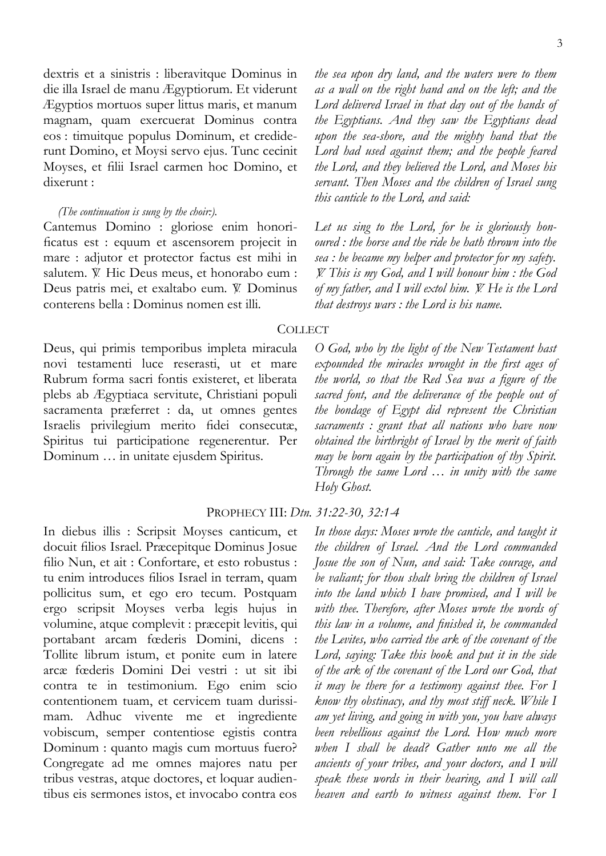dextris et a sinistris : liberavitque Dominus in die illa Israel de manu Ægyptiorum. Et viderunt Ægyptios mortuos super littus maris, et manum magnam, quam exercuerat Dominus contra eos : timuitque populus Dominum, et crediderunt Domino, et Moysi servo ejus. Tunc cecinit Moyses, et filii Israel carmen hoc Domino, et dixerunt :

#### *(The continuation is sung by the choir:).*

Cantemus Domino : gloriose enim honorificatus est : equum et ascensorem projecit in mare : adjutor et protector factus est mihi in salutem.  $\mathbb{V}$ . Hic Deus meus, et honorabo eum : Deus patris mei, et exaltabo eum. V. Dominus conterens bella : Dominus nomen est illi.

Deus, qui primis temporibus impleta miracula novi testamenti luce reserasti, ut et mare Rubrum forma sacri fontis existeret, et liberata plebs ab Ægyptiaca servitute, Christiani populi sacramenta præferret : da, ut omnes gentes Israelis privilegium merito fidei consecutæ, Spiritus tui participatione regenerentur. Per Dominum … in unitate ejusdem Spiritus.

PROPHECY III: *Dtn. 31:22-30, 32:1-4*

In diebus illis : Scripsit Moyses canticum, et docuit filios Israel. Præcepitque Dominus Josue filio Nun, et ait : Confortare, et esto robustus : tu enim introduces filios Israel in terram, quam pollicitus sum, et ego ero tecum. Postquam ergo scripsit Moyses verba legis hujus in volumine, atque complevit : præcepit levitis, qui portabant arcam fœderis Domini, dicens : Tollite librum istum, et ponite eum in latere arcæ fœderis Domini Dei vestri : ut sit ibi contra te in testimonium. Ego enim scio contentionem tuam, et cervicem tuam durissimam. Adhuc vivente me et ingrediente vobiscum, semper contentiose egistis contra Dominum : quanto magis cum mortuus fuero? Congregate ad me omnes majores natu per tribus vestras, atque doctores, et loquar audientibus eis sermones istos, et invocabo contra eos

*the sea upon dry land, and the waters were to them as a wall on the right hand and on the left; and the Lord delivered Israel in that day out of the hands of the Egyptians. And they saw the Egyptians dead upon the sea-shore, and the mighty hand that the Lord had used against them; and the people feared the Lord, and they believed the Lord, and Moses his servant. Then Moses and the children of Israel sung this canticle to the Lord, and said:* 

*Let us sing to the Lord, for he is gloriously honoured : the horse and the ride he hath thrown into the sea : he became my helper and protector for my safety.*  = *This is my God, and I will honour him : the God of my father, and I will extol him.* = *He is the Lord that destroys wars : the Lord is his name.* 

# **COLLECT**

*O God, who by the light of the New Testament hast expounded the miracles wrought in the first ages of the world, so that the Red Sea was a figure of the sacred font, and the deliverance of the people out of the bondage of Egypt did represent the Christian sacraments : grant that all nations who have now obtained the birthright of Israel by the merit of faith may be born again by the participation of thy Spirit. Through the same Lord … in unity with the same Holy Ghost.* 

*In those days: Moses wrote the canticle, and taught it the children of Israel. And the Lord commanded Josue the son of Nun, and said: Take courage, and be valiant; for thou shalt bring the children of Israel into the land which I have promised, and I will be with thee. Therefore, after Moses wrote the words of this law in a volume, and finished it, he commanded the Levites, who carried the ark of the covenant of the Lord, saying: Take this book and put it in the side of the ark of the covenant of the Lord our God, that it may be there for a testimony against thee. For I know thy obstinacy, and thy most stiff neck. While I am yet living, and going in with you, you have always been rebellious against the Lord. How much more when I shall be dead? Gather unto me all the ancients of your tribes, and your doctors, and I will speak these words in their hearing, and I will call heaven and earth to witness against them. For I*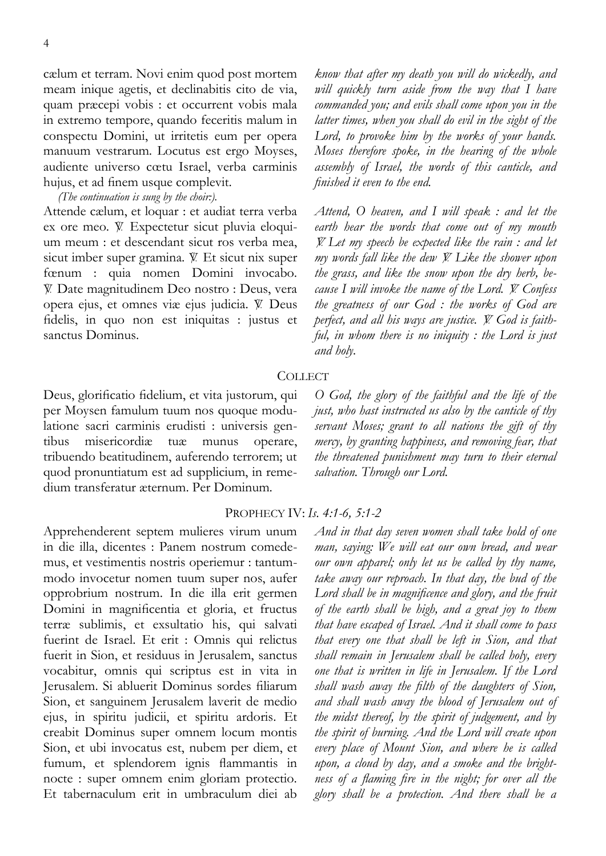cælum et terram. Novi enim quod post mortem meam inique agetis, et declinabitis cito de via, quam præcepi vobis : et occurrent vobis mala in extremo tempore, quando feceritis malum in conspectu Domini, ut irritetis eum per opera manuum vestrarum. Locutus est ergo Moyses, audiente universo cœtu Israel, verba carminis hujus, et ad finem usque complevit.

*(The continuation is sung by the choir:).* 

Attende cælum, et loquar : et audiat terra verba ex ore meo.  $\mathbb{V}$ . Expectetur sicut pluvia eloquium meum : et descendant sicut ros verba mea, sicut imber super gramina.  $V$ . Et sicut nix super fœnum : quia nomen Domini invocabo.  $\mathbb W$  Date magnitudinem Deo nostro : Deus, vera opera ejus, et omnes viæ ejus judicia. V. Deus fidelis, in quo non est iniquitas : justus et sanctus Dominus.

Deus, glorificatio fidelium, et vita justorum, qui per Moysen famulum tuum nos quoque modulatione sacri carminis erudisti : universis gentibus misericordiæ tuæ munus operare, tribuendo beatitudinem, auferendo terrorem; ut quod pronuntiatum est ad supplicium, in remedium transferatur æternum. Per Dominum.

Apprehenderent septem mulieres virum unum in die illa, dicentes : Panem nostrum comedemus, et vestimentis nostris operiemur : tantummodo invocetur nomen tuum super nos, aufer opprobrium nostrum. In die illa erit germen Domini in magnificentia et gloria, et fructus terræ sublimis, et exsultatio his, qui salvati fuerint de Israel. Et erit : Omnis qui relictus fuerit in Sion, et residuus in Jerusalem, sanctus vocabitur, omnis qui scriptus est in vita in Jerusalem. Si abluerit Dominus sordes filiarum Sion, et sanguinem Jerusalem laverit de medio ejus, in spiritu judicii, et spiritu ardoris. Et creabit Dominus super omnem locum montis Sion, et ubi invocatus est, nubem per diem, et fumum, et splendorem ignis flammantis in nocte : super omnem enim gloriam protectio. Et tabernaculum erit in umbraculum diei ab

*know that after my death you will do wickedly, and will quickly turn aside from the way that I have commanded you; and evils shall come upon you in the latter times, when you shall do evil in the sight of the Lord, to provoke him by the works of your hands. Moses therefore spoke, in the hearing of the whole assembly of Israel, the words of this canticle, and finished it even to the end.* 

*Attend, O heaven, and I will speak : and let the earth hear the words that come out of my mouth*  = *Let my speech be expected like the rain : and let my words fall like the dew V. Like the shower upon the grass, and like the snow upon the dry herb, because I will invoke the name of the Lord. V. Confess the greatness of our God : the works of God are*  perfect, and all his ways are justice. *V.* God is faith*ful, in whom there is no iniquity : the Lord is just and holy.* 

# **COLLECT**

*O God, the glory of the faithful and the life of the just, who hast instructed us also by the canticle of thy servant Moses; grant to all nations the gift of thy mercy, by granting happiness, and removing fear, that the threatened punishment may turn to their eternal salvation. Through our Lord.* 

### PROPHECY IV: *Is. 4:1-6, 5:1-2*

*And in that day seven women shall take hold of one man, saying: We will eat our own bread, and wear our own apparel; only let us be called by thy name, take away our reproach. In that day, the bud of the Lord shall be in magnificence and glory, and the fruit of the earth shall be high, and a great joy to them that have escaped of Israel. And it shall come to pass that every one that shall be left in Sion, and that shall remain in Jerusalem shall be called holy, every one that is written in life in Jerusalem. If the Lord shall wash away the filth of the daughters of Sion, and shall wash away the blood of Jerusalem out of the midst thereof, by the spirit of judgement, and by the spirit of burning. And the Lord will create upon every place of Mount Sion, and where he is called upon, a cloud by day, and a smoke and the brightness of a flaming fire in the night; for over all the glory shall be a protection. And there shall be a*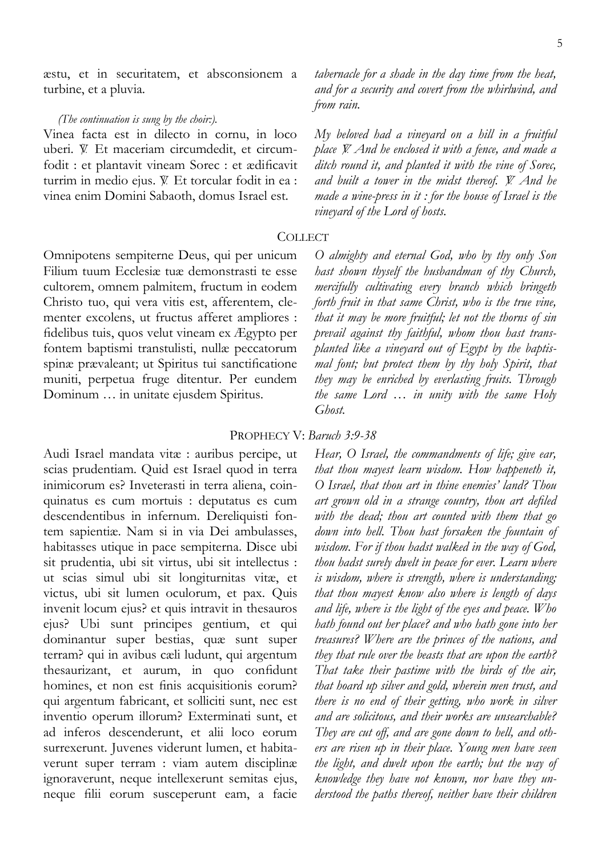æstu, et in securitatem, et absconsionem a turbine, et a pluvia.

#### *(The continuation is sung by the choir:).*

Vinea facta est in dilecto in cornu, in loco uberi.  $V$ . Et maceriam circumdedit, et circumfodit : et plantavit vineam Sorec : et ædificavit turrim in medio ejus. V. Et torcular fodit in ea : vinea enim Domini Sabaoth, domus Israel est.

Omnipotens sempiterne Deus, qui per unicum Filium tuum Ecclesiæ tuæ demonstrasti te esse cultorem, omnem palmitem, fructum in eodem Christo tuo, qui vera vitis est, afferentem, clementer excolens, ut fructus afferet ampliores : fidelibus tuis, quos velut vineam ex Ægypto per fontem baptismi transtulisti, nullæ peccatorum spinæ prævaleant; ut Spiritus tui sanctificatione muniti, perpetua fruge ditentur. Per eundem Dominum … in unitate ejusdem Spiritus.

Audi Israel mandata vitæ : auribus percipe, ut scias prudentiam. Quid est Israel quod in terra inimicorum es? Inveterasti in terra aliena, coinquinatus es cum mortuis : deputatus es cum descendentibus in infernum. Dereliquisti fontem sapientiæ. Nam si in via Dei ambulasses, habitasses utique in pace sempiterna. Disce ubi sit prudentia, ubi sit virtus, ubi sit intellectus : ut scias simul ubi sit longiturnitas vitæ, et victus, ubi sit lumen oculorum, et pax. Quis invenit locum ejus? et quis intravit in thesauros ejus? Ubi sunt principes gentium, et qui dominantur super bestias, quæ sunt super terram? qui in avibus cæli ludunt, qui argentum thesaurizant, et aurum, in quo confidunt homines, et non est finis acquisitionis eorum? qui argentum fabricant, et solliciti sunt, nec est inventio operum illorum? Exterminati sunt, et ad inferos descenderunt, et alii loco eorum surrexerunt. Juvenes viderunt lumen, et habitaverunt super terram : viam autem disciplinæ ignoraverunt, neque intellexerunt semitas ejus,

neque filii eorum susceperunt eam, a facie

*tabernacle for a shade in the day time from the heat, and for a security and covert from the whirlwind, and from rain.* 

*My beloved had a vineyard on a hill in a fruitful place V. And he enclosed it with a fence, and made a ditch round it, and planted it with the vine of Sorec, and built a tower in the midst thereof.* = *And he made a wine-press in it : for the house of Israel is the vineyard of the Lord of hosts.* 

#### **COLLECT**

*O almighty and eternal God, who by thy only Son hast shown thyself the husbandman of thy Church, mercifully cultivating every branch which bringeth forth fruit in that same Christ, who is the true vine, that it may be more fruitful; let not the thorns of sin prevail against thy faithful, whom thou hast transplanted like a vineyard out of Egypt by the baptismal font; but protect them by thy holy Spirit, that they may be enriched by everlasting fruits. Through the same Lord … in unity with the same Holy Ghost.* 

#### PROPHECY V: *Baruch 3:9-38*

*Hear, O Israel, the commandments of life; give ear, that thou mayest learn wisdom. How happeneth it, O Israel, that thou art in thine enemies' land? Thou art grown old in a strange country, thou art defiled with the dead; thou art counted with them that go down into hell. Thou hast forsaken the fountain of wisdom. For if thou hadst walked in the way of God, thou hadst surely dwelt in peace for ever. Learn where is wisdom, where is strength, where is understanding; that thou mayest know also where is length of days and life, where is the light of the eyes and peace. Who hath found out her place? and who hath gone into her treasures? Where are the princes of the nations, and they that rule over the beasts that are upon the earth? That take their pastime with the birds of the air, that hoard up silver and gold, wherein men trust, and there is no end of their getting, who work in silver and are solicitous, and their works are unsearchable? They are cut off, and are gone down to hell, and others are risen up in their place. Young men have seen the light, and dwelt upon the earth; but the way of knowledge they have not known, nor have they understood the paths thereof, neither have their children*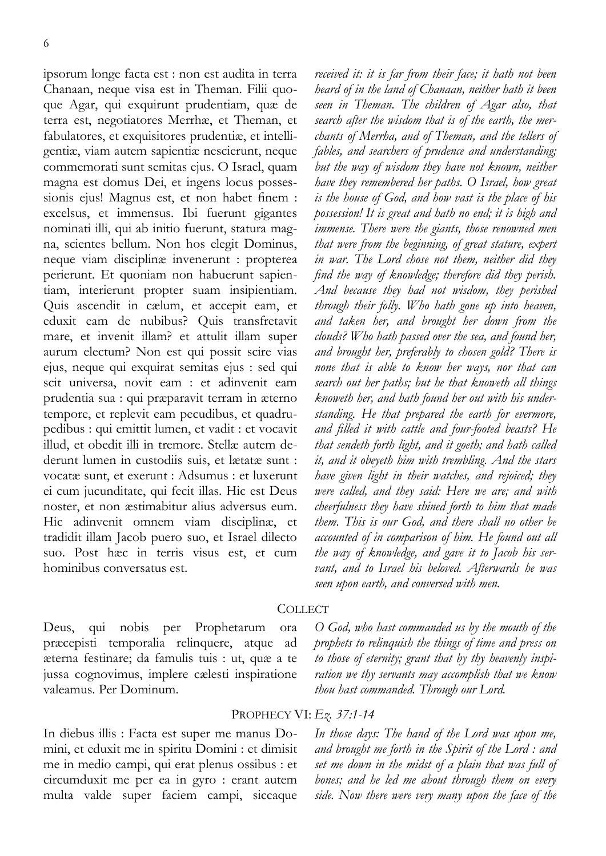ipsorum longe facta est : non est audita in terra Chanaan, neque visa est in Theman. Filii quoque Agar, qui exquirunt prudentiam, quæ de terra est, negotiatores Merrhæ, et Theman, et fabulatores, et exquisitores prudentiæ, et intelligentiæ, viam autem sapientiæ nescierunt, neque commemorati sunt semitas ejus. O Israel, quam magna est domus Dei, et ingens locus possessionis ejus! Magnus est, et non habet finem : excelsus, et immensus. Ibi fuerunt gigantes nominati illi, qui ab initio fuerunt, statura magna, scientes bellum. Non hos elegit Dominus, neque viam disciplinæ invenerunt : propterea perierunt. Et quoniam non habuerunt sapientiam, interierunt propter suam insipientiam. Quis ascendit in cælum, et accepit eam, et eduxit eam de nubibus? Quis transfretavit mare, et invenit illam? et attulit illam super aurum electum? Non est qui possit scire vias ejus, neque qui exquirat semitas ejus : sed qui scit universa, novit eam : et adinvenit eam prudentia sua : qui præparavit terram in æterno tempore, et replevit eam pecudibus, et quadrupedibus : qui emittit lumen, et vadit : et vocavit illud, et obedit illi in tremore. Stellæ autem dederunt lumen in custodiis suis, et lætatæ sunt : vocatæ sunt, et exerunt : Adsumus : et luxerunt ei cum jucunditate, qui fecit illas. Hic est Deus noster, et non æstimabitur alius adversus eum. Hic adinvenit omnem viam disciplinæ, et tradidit illam Jacob puero suo, et Israel dilecto suo. Post hæc in terris visus est, et cum hominibus conversatus est.

*received it: it is far from their face; it hath not been heard of in the land of Chanaan, neither hath it been seen in Theman. The children of Agar also, that search after the wisdom that is of the earth, the merchants of Merrha, and of Theman, and the tellers of fables, and searchers of prudence and understanding; but the way of wisdom they have not known, neither have they remembered her paths. O Israel, how great is the house of God, and how vast is the place of his possession! It is great and hath no end; it is high and immense. There were the giants, those renowned men that were from the beginning, of great stature, expert in war. The Lord chose not them, neither did they find the way of knowledge; therefore did they perish. And because they had not wisdom, they perished through their folly. Who hath gone up into heaven, and taken her, and brought her down from the clouds? Who hath passed over the sea, and found her, and brought her, preferably to chosen gold? There is none that is able to know her ways, nor that can search out her paths; but he that knoweth all things knoweth her, and hath found her out with his understanding. He that prepared the earth for evermore, and filled it with cattle and four-footed beasts? He that sendeth forth light, and it goeth; and hath called it, and it obeyeth him with trembling. And the stars have given light in their watches, and rejoiced; they were called, and they said: Here we are; and with cheerfulness they have shined forth to him that made them. This is our God, and there shall no other be accounted of in comparison of him. He found out all the way of knowledge, and gave it to Jacob his servant, and to Israel his beloved. Afterwards he was seen upon earth, and conversed with men.* 

# **COLLECT**

Deus, qui nobis per Prophetarum ora præcepisti temporalia relinquere, atque ad æterna festinare; da famulis tuis : ut, quæ a te jussa cognovimus, implere cælesti inspiratione valeamus. Per Dominum.

*O God, who hast commanded us by the mouth of the prophets to relinquish the things of time and press on to those of eternity; grant that by thy heavenly inspiration we thy servants may accomplish that we know thou hast commanded. Through our Lord.* 

### PROPHECY VI: *Ez. 37:1-14*

In diebus illis : Facta est super me manus Domini, et eduxit me in spiritu Domini : et dimisit me in medio campi, qui erat plenus ossibus : et circumduxit me per ea in gyro : erant autem multa valde super faciem campi, siccaque

*In those days: The hand of the Lord was upon me, and brought me forth in the Spirit of the Lord : and set me down in the midst of a plain that was full of bones; and he led me about through them on every side. Now there were very many upon the face of the*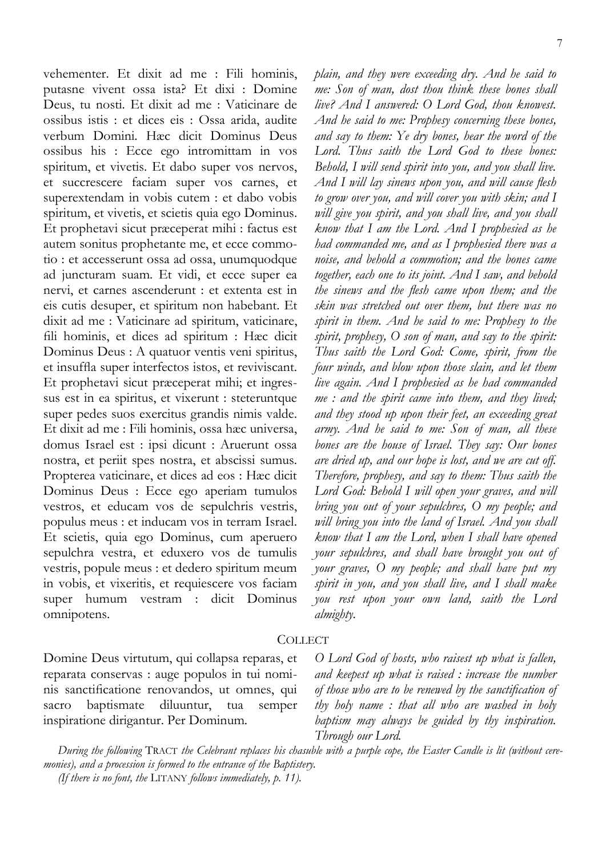vehementer. Et dixit ad me : Fili hominis, putasne vivent ossa ista? Et dixi : Domine Deus, tu nosti. Et dixit ad me : Vaticinare de ossibus istis : et dices eis : Ossa arida, audite verbum Domini. Hæc dicit Dominus Deus ossibus his : Ecce ego intromittam in vos spiritum, et vivetis. Et dabo super vos nervos, et succrescere faciam super vos carnes, et superextendam in vobis cutem : et dabo vobis spiritum, et vivetis, et scietis quia ego Dominus. Et prophetavi sicut præceperat mihi : factus est autem sonitus prophetante me, et ecce commotio : et accesserunt ossa ad ossa, unumquodque ad juncturam suam. Et vidi, et ecce super ea nervi, et carnes ascenderunt : et extenta est in eis cutis desuper, et spiritum non habebant. Et dixit ad me : Vaticinare ad spiritum, vaticinare, fili hominis, et dices ad spiritum : Hæc dicit Dominus Deus : A quatuor ventis veni spiritus, et insuffla super interfectos istos, et reviviscant. Et prophetavi sicut præceperat mihi; et ingressus est in ea spiritus, et vixerunt : steteruntque super pedes suos exercitus grandis nimis valde. Et dixit ad me : Fili hominis, ossa hæc universa, domus Israel est : ipsi dicunt : Aruerunt ossa nostra, et periit spes nostra, et abscissi sumus. Propterea vaticinare, et dices ad eos : Hæc dicit Dominus Deus : Ecce ego aperiam tumulos vestros, et educam vos de sepulchris vestris, populus meus : et inducam vos in terram Israel. Et scietis, quia ego Dominus, cum aperuero sepulchra vestra, et eduxero vos de tumulis vestris, popule meus : et dedero spiritum meum in vobis, et vixeritis, et requiescere vos faciam super humum vestram : dicit Dominus omnipotens.

*plain, and they were exceeding dry. And he said to me: Son of man, dost thou think these bones shall live? And I answered: O Lord God, thou knowest. And he said to me: Prophesy concerning these bones, and say to them: Ye dry bones, hear the word of the Lord. Thus saith the Lord God to these bones: Behold, I will send spirit into you, and you shall live. And I will lay sinews upon you, and will cause flesh to grow over you, and will cover you with skin; and I will give you spirit, and you shall live, and you shall know that I am the Lord. And I prophesied as he had commanded me, and as I prophesied there was a noise, and behold a commotion; and the bones came together, each one to its joint. And I saw, and behold the sinews and the flesh came upon them; and the skin was stretched out over them, but there was no spirit in them. And he said to me: Prophesy to the spirit, prophesy, O son of man, and say to the spirit: Thus saith the Lord God: Come, spirit, from the four winds, and blow upon those slain, and let them live again. And I prophesied as he had commanded me : and the spirit came into them, and they lived; and they stood up upon their feet, an exceeding great army. And he said to me: Son of man, all these bones are the house of Israel. They say: Our bones are dried up, and our hope is lost, and we are cut off. Therefore, prophesy, and say to them: Thus saith the Lord God: Behold I will open your graves, and will bring you out of your sepulchres, O my people; and will bring you into the land of Israel. And you shall know that I am the Lord, when I shall have opened your sepulchres, and shall have brought you out of your graves, O my people; and shall have put my spirit in you, and you shall live, and I shall make you rest upon your own land, saith the Lord almighty.* 

# **COLLECT**

Domine Deus virtutum, qui collapsa reparas, et reparata conservas : auge populos in tui nominis sanctificatione renovandos, ut omnes, qui sacro baptismate diluuntur, tua semper inspiratione dirigantur. Per Dominum.

*O Lord God of hosts, who raisest up what is fallen, and keepest up what is raised : increase the number of those who are to be renewed by the sanctification of thy holy name : that all who are washed in holy baptism may always be guided by thy inspiration. Through our Lord.* 

*During the following* TRACT *the Celebrant replaces his chasuble with a purple cope, the Easter Candle is lit (without ceremonies), and a procession is formed to the entrance of the Baptistery.* 

*(If there is no font, the* LITANY *follows immediately, p. [11\)](#page-10-0).*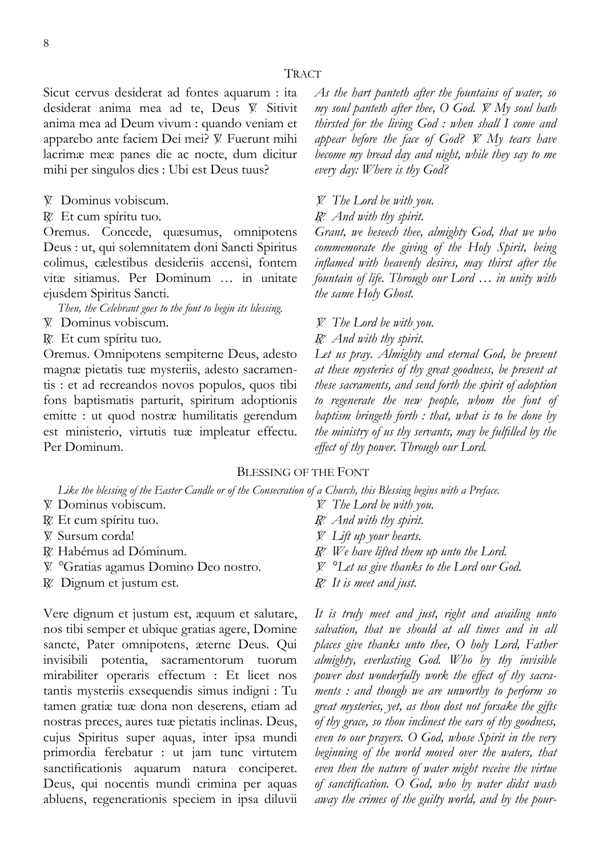Sicut cervus desiderat ad fontes aquarum : ita desiderat anima mea ad te, Deus V. Sitivit anima mea ad Deum vivum : quando veniam et apparebo ante faciem Dei mei? V. Fuerunt mihi lacrimæ meæ panes die ac nocte, dum dicitur mihi per singulos dies : Ubi est Deus tuus?

- $\mathbb W$  Dominus vobiscum.
- R. Et cum spíritu tuo.

Oremus. Concede, quæsumus, omnipotens Deus : ut, qui solemnitatem doni Sancti Spiritus colimus, cælestibus desideriis accensi, fontem vitæ sitiamus. Per Dominum … in unitate ejusdem Spiritus Sancti.

*Then, the Celebrant goes to the font to begin its blessing.* 

- $\mathbb V$  Dominus vobiscum.
- R. Et cum spíritu tuo.

Oremus. Omnipotens sempiterne Deus, adesto magnæ pietatis tuæ mysteriis, adesto sacramentis : et ad recreandos novos populos, quos tibi fons baptismatis parturit, spiritum adoptionis emitte : ut quod nostræ humilitatis gerendum est ministerio, virtutis tuæ impleatur effectu. Per Dominum.

*As the hart panteth after the fountains of water, so my soul panteth after thee, O God.*  $\cancel{W}$  *My soul hath thirsted for the living God : when shall I come and appear before the face of God?* = *My tears have become my bread day and night, while they say to me every day: Where is thy God?* 

- = *The Lord be with you.*
- + *And with thy spirit.*

*Grant, we beseech thee, almighty God, that we who commemorate the giving of the Holy Spirit, being inflamed with heavenly desires, may thirst after the fountain of life. Through our Lord … in unity with the same Holy Ghost.* 

= *The Lord be with you.* 

*<i><sub><i>R*</sub><sup>*And with thy spirit.*</sup>

*Let us pray. Almighty and eternal God, be present at these mysteries of thy great goodness, be present at these sacraments, and send forth the spirit of adoption to regenerate the new people, whom the font of baptism bringeth forth : that, what is to be done by the ministry of us thy servants, may be fulfilled by the effect of thy power. Through our Lord.* 

# BLESSING OF THE FONT

*Like the blessing of the Easter Candle or of the Consecration of a Church, this Blessing begins with a Preface.* 

- $\mathbb V$  Dominus vobiscum.
- $R$ . Et cum spíritu tuo.
- V. Sursum corda!
- R. Habémus ad Dóminum.
- = *°*Gratias agamus Domino Deo nostro.
- $\mathbb R$ . Dignum et justum est.

Vere dignum et justum est, æquum et salutare, nos tibi semper et ubique gratias agere, Domine sancte, Pater omnipotens, æterne Deus. Qui invisibili potentia, sacramentorum tuorum mirabiliter operaris effectum : Et licet nos tantis mysteriis exsequendis simus indigni : Tu tamen gratiæ tuæ dona non deserens, etiam ad nostras preces, aures tuæ pietatis inclinas. Deus, cujus Spiritus super aquas, inter ipsa mundi primordia ferebatur : ut jam tunc virtutem sanctificationis aquarum natura conciperet. Deus, qui nocentis mundi crimina per aquas abluens, regenerationis speciem in ipsa diluvii

- = *The Lord be with you.*
- *<i><sub><i>R*</sub><sup>*z*</sup> *And with thy spirit.*
- = *Lift up your hearts.*
- R. We have lifted them up unto the Lord.
- = *°Let us give thanks to the Lord our God.*
- R. It is meet and just.

*It is truly meet and just, right and availing unto salvation, that we should at all times and in all places give thanks unto thee, O holy Lord, Father almighty, everlasting God. Who by thy invisible power dost wonderfully work the effect of thy sacraments : and though we are unworthy to perform so great mysteries, yet, as thou dost not forsake the gifts of thy grace, so thou inclinest the ears of thy goodness, even to our prayers. O God, whose Spirit in the very beginning of the world moved over the waters, that even then the nature of water might receive the virtue of sanctification. O God, who by water didst wash away the crimes of the guilty world, and by the pour-*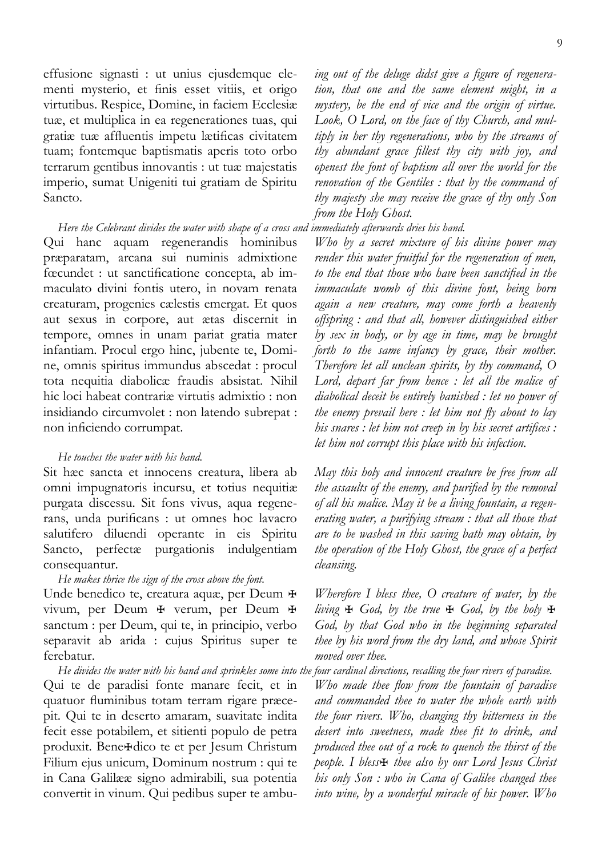effusione signasti : ut unius ejusdemque elementi mysterio, et finis esset vitiis, et origo virtutibus. Respice, Domine, in faciem Ecclesiæ tuæ, et multiplica in ea regenerationes tuas, qui gratiæ tuæ affluentis impetu lætificas civitatem tuam; fontemque baptismatis aperis toto orbo terrarum gentibus innovantis : ut tuæ majestatis imperio, sumat Unigeniti tui gratiam de Spiritu Sancto.

### *Here the Celebrant divides the water with shape of a cross and immediately afterwards dries his hand.*

Qui hanc aquam regenerandis hominibus præparatam, arcana sui numinis admixtione fœcundet : ut sanctificatione concepta, ab immaculato divini fontis utero, in novam renata creaturam, progenies cælestis emergat. Et quos aut sexus in corpore, aut ætas discernit in tempore, omnes in unam pariat gratia mater infantiam. Procul ergo hinc, jubente te, Domine, omnis spiritus immundus abscedat : procul tota nequitia diabolicæ fraudis absistat. Nihil hic loci habeat contrariæ virtutis admixtio : non insidiando circumvolet : non latendo subrepat : non inficiendo corrumpat.

#### *He touches the water with his hand.*

Sit hæc sancta et innocens creatura, libera ab omni impugnatoris incursu, et totius nequitiæ purgata discessu. Sit fons vivus, aqua regenerans, unda purificans : ut omnes hoc lavacro salutifero diluendi operante in eis Spiritu Sancto, perfectæ purgationis indulgentiam consequantur.

#### *He makes thrice the sign of the cross above the font.*

Unde benedico te, creatura aquæ, per Deum  $\ddot{H}$ vivum, per Deum  $\overline{\mathbf{F}}$  verum, per Deum  $\overline{\mathbf{F}}$ sanctum : per Deum, qui te, in principio, verbo separavit ab arida : cujus Spiritus super te ferebatur.

*He divides the water with his hand and sprinkles some into the four cardinal directions, recalling the four rivers of paradise.*  Qui te de paradisi fonte manare fecit, et in quatuor fluminibus totam terram rigare præcepit. Qui te in deserto amaram, suavitate indita fecit esse potabilem, et sitienti populo de petra produxit. Bene<sup>H</sup>dico te et per Jesum Christum Filium ejus unicum, Dominum nostrum : qui te in Cana Galilææ signo admirabili, sua potentia convertit in vinum. Qui pedibus super te ambu-

*ing out of the deluge didst give a figure of regeneration, that one and the same element might, in a mystery, be the end of vice and the origin of virtue. Look, O Lord, on the face of thy Church, and multiply in her thy regenerations, who by the streams of thy abundant grace fillest thy city with joy, and openest the font of baptism all over the world for the renovation of the Gentiles : that by the command of thy majesty she may receive the grace of thy only Son from the Holy Ghost.* 

*Who by a secret mixture of his divine power may render this water fruitful for the regeneration of men, to the end that those who have been sanctified in the immaculate womb of this divine font, being born again a new creature, may come forth a heavenly offspring : and that all, however distinguished either by sex in body, or by age in time, may be brought forth to the same infancy by grace, their mother. Therefore let all unclean spirits, by thy command, O Lord, depart far from hence : let all the malice of diabolical deceit be entirely banished : let no power of the enemy prevail here : let him not fly about to lay his snares : let him not creep in by his secret artifices : let him not corrupt this place with his infection.* 

*May this holy and innocent creature be free from all the assaults of the enemy, and purified by the removal of all his malice. May it be a living fountain, a regenerating water, a purifying stream : that all those that are to be washed in this saving bath may obtain, by the operation of the Holy Ghost, the grace of a perfect cleansing.* 

*Wherefore I bless thee, O creature of water, by the living* ü *God, by the true* ü *God, by the holy* ü *God, by that God who in the beginning separated thee by his word from the dry land, and whose Spirit moved over thee.* 

*Who made thee flow from the fountain of paradise and commanded thee to water the whole earth with the four rivers. Who, changing thy bitterness in the desert into sweetness, made thee fit to drink, and produced thee out of a rock to quench the thirst of the people. I bless* $\#$  *thee also by our Lord Jesus Christ his only Son : who in Cana of Galilee changed thee into wine, by a wonderful miracle of his power. Who*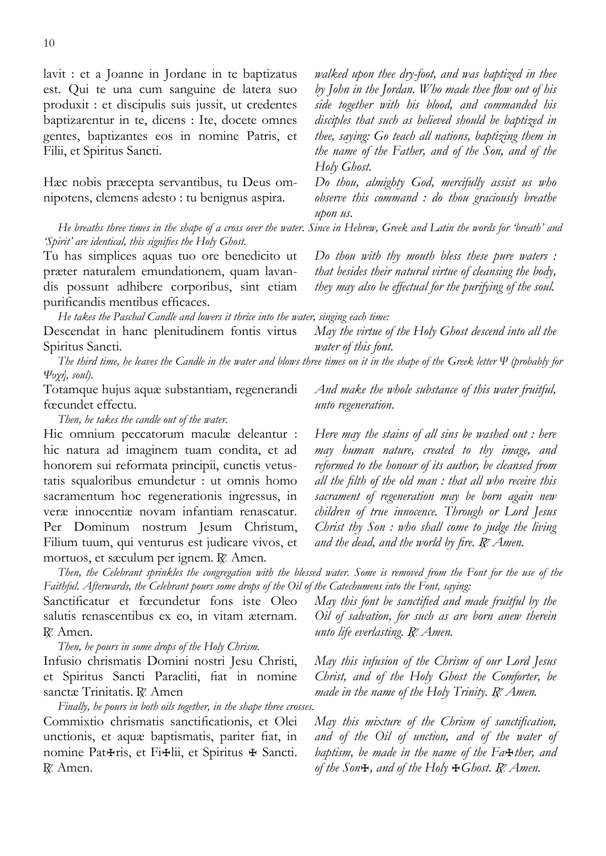lavit : et a Joanne in Jordane in te baptizatus est. Qui te una cum sanguine de latera suo produxit : et discipulis suis jussit, ut credentes baptizarentur in te, dicens : Ite, docete omnes gentes, baptizantes eos in nomine Patris, et Filii, et Spiritus Sancti.

Hæc nobis præcepta servantibus, tu Deus omnipotens, clemens adesto : tu benignus aspira.

*walked upon thee dry-foot, and was baptized in thee by John in the Jordan. Who made thee flow out of his side together with his blood, and commanded his disciples that such as believed should be baptized in thee, saying: Go teach all nations, baptizing them in the name of the Father, and of the Son, and of the Holy Ghost.* 

*Do thou, almighty God, mercifully assist us who observe this command : do thou graciously breathe upon us.* 

*Do thou with thy mouth bless these pure waters : that besides their natural virtue of cleansing the body, they may also be effectual for the purifying of the soul.* 

*He breaths three times in the shape of a cross over the water. Since in Hebrew, Greek and Latin the words for 'breath' and 'Spirit' are identical, this signifies the Holy Ghost.* 

Tu has simplices aquas tuo ore benedicito ut præter naturalem emundationem, quam lavandis possunt adhibere corporibus, sint etiam purificandis mentibus efficaces.

*He takes the Paschal Candle and lowers it thrice into the water, singing each time:* 

Descendat in hanc plenitudinem fontis virtus Spiritus Sancti.

*The third time, he leaves the Candle in the water and blows three times on it in the shape of the Greek letter Ψ (probably for Ψυχή, soul).* 

Totamque hujus aquæ substantiam, regenerandi fœcundet effectu.

*Then, he takes the candle out of the water.* 

Hic omnium peccatorum maculæ deleantur : hic natura ad imaginem tuam condita, et ad honorem sui reformata principii, cunctis vetustatis squaloribus emundetur : ut omnis homo sacramentum hoc regenerationis ingressus, in veræ innocentiæ novam infantiam renascatur. Per Dominum nostrum Jesum Christum, Filium tuum, qui venturus est judicare vivos, et mortuos, et sæculum per ignem. R. Amen.

*Then, the Celebrant sprinkles the congregation with the blessed water. Some is removed from the Font for the use of the Faithful. Afterwards, the Celebrant pours some drops of the Oil of the Catechumens into the Font, saying:* 

Sanctificatur et fœcundetur fons iste Oleo salutis renascentibus ex eo, in vitam æternam. R. Amen.

*Then, he pours in some drops of the Holy Chrism.* 

Infusio chrismatis Domini nostri Jesu Christi, et Spiritus Sancti Paracliti, fiat in nomine sanctæ Trinitatis. R. Amen

*Finally, he pours in both oils together, in the shape three crosses.*  Commixtio chrismatis sanctificationis, et Olei unctionis, et aquæ baptismatis, pariter fiat, in nomine Pat<sub>H</sub>ris, et Fi<sub>Hlii</sub>, et Spiritus **H** Sancti. R. Amen.

*May the virtue of the Holy Ghost descend into all the* 

*water of this font.* 

*And make the whole substance of this water fruitful, unto regeneration.* 

*Here may the stains of all sins be washed out : here may human nature, created to thy image, and reformed to the honour of its author, be cleansed from all the filth of the old man : that all who receive this sacrament of regeneration may be born again new children of true innocence. Through or Lord Jesus Christ thy Son : who shall come to judge the living*  and the dead, and the world by fire. R. Amen.

*May this font be sanctified and made fruitful by the Oil of salvation, for such as are born anew therein unto life everlasting. R. Amen.* 

*May this infusion of the Chrism of our Lord Jesus Christ, and of the Holy Ghost the Comforter, be made in the name of the Holy Trinity. R. Amen.* 

*May this mixture of the Chrism of sanctification, and of the Oil of unction, and of the water of baptism, be made in the name of the Fa*ü*ther, and of the Son*ü*, and of the Holy* ü*Ghost.* + *Amen.*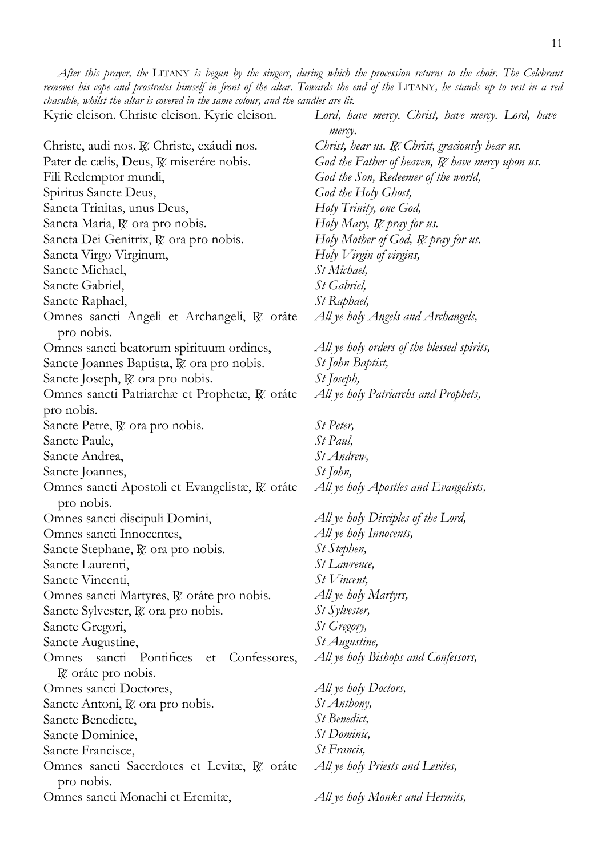<span id="page-10-0"></span>Kyrie eleison. Christe eleison. Kyrie eleison.

|                                                                         | mercy.                                           |
|-------------------------------------------------------------------------|--------------------------------------------------|
| Christe, audi nos. R. Christe, exáudi nos.                              | Christ, hear us. R. Christ, graciously hear us.  |
| Pater de cælis, Deus, R. miserére nobis.                                | God the Father of heaven, R. have mercy upon us. |
| Fili Redemptor mundi,                                                   | God the Son, Redeemer of the world,              |
| Spiritus Sancte Deus,                                                   | God the Holy Ghost,                              |
| Sancta Trinitas, unus Deus,                                             | Holy Trinity, one God,                           |
| Sancta Maria, R. ora pro nobis.                                         | Holy Mary, R. pray for us.                       |
| Sancta Dei Genitrix, R. ora pro nobis.                                  | Holy Mother of God, R. pray for us.              |
| Sancta Virgo Virginum,                                                  | Holy Virgin of virgins,                          |
| Sancte Michael,                                                         | St Michael,                                      |
| Sancte Gabriel,                                                         | St Gabriel,                                      |
| Sancte Raphael,                                                         | St Raphael,                                      |
| Omnes sancti Angeli et Archangeli, R oráte<br>pro nobis.                | All ye holy Angels and Archangels,               |
| Omnes sancti beatorum spirituum ordines,                                | All ye holy orders of the blessed spirits,       |
| Sancte Joannes Baptista, R. ora pro nobis.                              | St John Baptist,                                 |
| Sancte Joseph, R. ora pro nobis.                                        | <i>St Joseph</i> ,                               |
| Omnes sancti Patriarchæ et Prophetæ, R. oráte                           | All ye holy Patriarchs and Prophets,             |
| pro nobis.                                                              |                                                  |
| Sancte Petre, R. ora pro nobis.                                         | St Peter,                                        |
| Sancte Paule,                                                           | St Paul,                                         |
| Sancte Andrea,                                                          | St Andrew,                                       |
| Sancte Joannes,                                                         | St John,                                         |
| Omnes sancti Apostoli et Evangelistæ, R. oráte                          | All ye holy Apostles and Evangelists,            |
| pro nobis.                                                              |                                                  |
| Omnes sancti discipuli Domini,                                          | All ye holy Disciples of the Lord,               |
| Omnes sancti Innocentes,                                                | All ye holy Innocents,                           |
| Sancte Stephane, R. ora pro nobis.                                      | St Stephen,                                      |
| Sancte Laurenti,                                                        | St Lawrence,                                     |
| Sancte Vincenti,                                                        | St Vincent,                                      |
| Omnes sancti Martyres, R. oráte pro nobis.                              | All ye holy Martyrs,                             |
| Sancte Sylvester, R. ora pro nobis.                                     | <i>St Sylvester</i> ,                            |
| Sancte Gregori,                                                         | St Gregory,                                      |
| Sancte Augustine,                                                       | St Augustine,                                    |
| sancti Pontifices<br>Confessores,<br>Omnes<br>et<br>R' oráte pro nobis. | All ye holy Bishops and Confessors,              |
| Omnes sancti Doctores,                                                  | All ye holy Doctors,                             |
| Sancte Antoni, R. ora pro nobis.                                        | St Anthony,                                      |
| Sancte Benedicte,                                                       | St Benedict,                                     |
| Sancte Dominice,                                                        | St Dominic,                                      |
| Sancte Francisce,                                                       | St Francis,                                      |
| Omnes sancti Sacerdotes et Levitæ, R. oráte<br>pro nobis.               | All ye holy Priests and Levites,                 |
| Omnes sancti Monachi et Eremitæ,                                        | All ye holy Monks and Hermits,                   |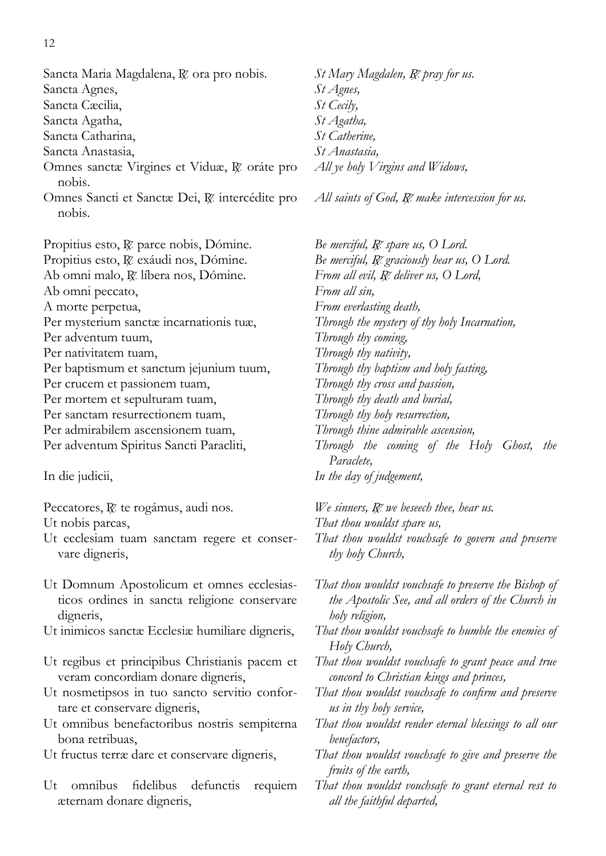- Sancta Maria Magdalena, R. ora pro nobis.
- Sancta Agnes,
- Sancta Cæcilia,
- Sancta Agatha,
- Sancta Catharina,
- Sancta Anastasia,
- Omnes sanctæ Virgines et Viduæ, R. oráte pro nobis.
- Omnes Sancti et Sanctæ Dei, R. intercédite pro nobis.

Propitius esto, R. parce nobis, Dómine. Propitius esto,  $\chi$  exáudi nos, Dómine. Ab omni malo, R. líbera nos, Dómine. Ab omni peccato, A morte perpetua, Per mysterium sanctæ incarnationis tuæ, Per adventum tuum, Per nativitatem tuam, Per baptismum et sanctum jejunium tuum, Per crucem et passionem tuam, Per mortem et sepulturam tuam, Per sanctam resurrectionem tuam, Per admirabilem ascensionem tuam,

Per adventum Spiritus Sancti Paracliti,

### In die judicii,

Peccatores, R. te rogámus, audi nos.

Ut nobis parcas,

- Ut ecclesiam tuam sanctam regere et conservare digneris,
- Ut Domnum Apostolicum et omnes ecclesiasticos ordines in sancta religione conservare digneris,
- Ut inimicos sanctæ Ecclesiæ humiliare digneris,
- Ut regibus et principibus Christianis pacem et veram concordiam donare digneris,
- Ut nosmetipsos in tuo sancto servitio confortare et conservare digneris,
- Ut omnibus benefactoribus nostris sempiterna bona retribuas,
- Ut fructus terræ dare et conservare digneris,
- Ut omnibus fidelibus defunctis requiem æternam donare digneris,

*St Mary Magdalen, R. pray for us. St Agnes, St Cecily, St Agatha, St Catherine, St Anastasia, All ye holy Virgins and Widows,*

*All saints of God,* + *make intercession for us.* 

*Be merciful, R*. *spare us, O Lord. Be merciful,* + *graciously hear us, O Lord.* From all evil, R. deliver us, O Lord, *From all sin, From everlasting death, Through the mystery of thy holy Incarnation, Through thy coming, Through thy nativity, Through thy baptism and holy fasting, Through thy cross and passion, Through thy death and burial, Through thy holy resurrection, Through thine admirable ascension, Through the coming of the Holy Ghost, the Paraclete, In the day of judgement,*

*We sinners, R. we beseech thee, hear us. That thou wouldst spare us, That thou wouldst vouchsafe to govern and preserve thy holy Church,*

*That thou wouldst vouchsafe to preserve the Bishop of the Apostolic See, and all orders of the Church in holy religion,* 

*That thou wouldst vouchsafe to humble the enemies of Holy Church,* 

*That thou wouldst vouchsafe to grant peace and true concord to Christian kings and princes,*

*That thou wouldst vouchsafe to confirm and preserve us in thy holy service,*

*That thou wouldst render eternal blessings to all our benefactors,*

- *That thou wouldst vouchsafe to give and preserve the fruits of the earth,*
- *That thou wouldst vouchsafe to grant eternal rest to all the faithful departed,*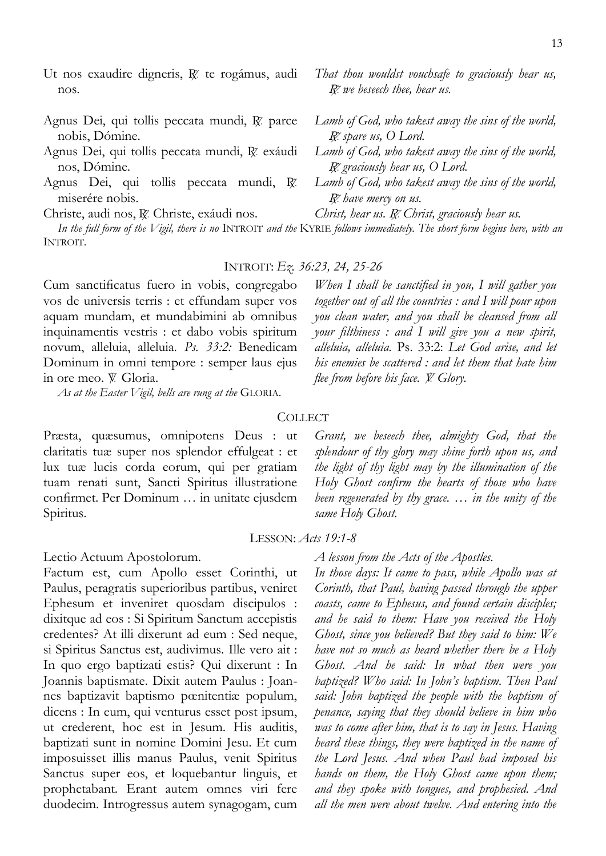- Ut nos exaudire digneris, R. te rogámus, audi nos.
- Agnus Dei, qui tollis peccata mundi, R. parce nobis, Dómine.
- Agnus Dei, qui tollis peccata mundi, R. exáudi nos, Dómine.
- Agnus Dei, qui tollis peccata mundi,  $\mathbb{R}^2$ miserére nobis.

Christe, audi nos, R. Christe, exáudi nos.

*In the full form of the Vigil, there is no* INTROIT *and the* KYRIE *follows immediately. The short form begins here, with an*  INTROIT*.* 

# INTROIT: *Ez. 36:23, 24, 25-26*

Cum sanctificatus fuero in vobis, congregabo vos de universis terris : et effundam super vos aquam mundam, et mundabimini ab omnibus inquinamentis vestris : et dabo vobis spiritum novum, alleluia, alleluia. *Ps. 33:2:* Benedicam Dominum in omni tempore : semper laus ejus in ore meo.  $\mathbb{V}$  Gloria.

*As at the Easter Vigil, bells are rung at the* GLORIA.

Præsta, quæsumus, omnipotens Deus : ut claritatis tuæ super nos splendor effulgeat : et lux tuæ lucis corda eorum, qui per gratiam tuam renati sunt, Sancti Spiritus illustratione confirmet. Per Dominum … in unitate ejusdem Spiritus.

Lectio Actuum Apostolorum.

Factum est, cum Apollo esset Corinthi, ut Paulus, peragratis superioribus partibus, veniret Ephesum et inveniret quosdam discipulos : dixitque ad eos : Si Spiritum Sanctum accepistis credentes? At illi dixerunt ad eum : Sed neque, si Spiritus Sanctus est, audivimus. Ille vero ait : In quo ergo baptizati estis? Qui dixerunt : In Joannis baptismate. Dixit autem Paulus : Joannes baptizavit baptismo pœnitentiæ populum, dicens : In eum, qui venturus esset post ipsum, ut crederent, hoc est in Jesum. His auditis, baptizati sunt in nomine Domini Jesu. Et cum imposuisset illis manus Paulus, venit Spiritus Sanctus super eos, et loquebantur linguis, et prophetabant. Erant autem omnes viri fere duodecim. Introgressus autem synagogam, cum

*When I shall be sanctified in you, I will gather you together out of all the countries : and I will pour upon you clean water, and you shall be cleansed from all your filthiness : and I will give you a new spirit, alleluia, alleluia.* Ps. 33:2: *Let God arise, and let his enemies be scattered : and let them that hate him flee from before his face. W. Glory.* 

# **COLLECT**

*Grant, we beseech thee, almighty God, that the splendour of thy glory may shine forth upon us, and the light of thy light may by the illumination of the Holy Ghost confirm the hearts of those who have been regenerated by thy grace. … in the unity of the same Holy Ghost.* 

#### LESSON: *Acts 19:1-8*

*A lesson from the Acts of the Apostles.* 

*In those days: It came to pass, while Apollo was at Corinth, that Paul, having passed through the upper coasts, came to Ephesus, and found certain disciples; and he said to them: Have you received the Holy Ghost, since you believed? But they said to him: We have not so much as heard whether there be a Holy Ghost. And he said: In what then were you baptized? Who said: In John's baptism. Then Paul said: John baptized the people with the baptism of penance, saying that they should believe in him who was to come after him, that is to say in Jesus. Having heard these things, they were baptized in the name of the Lord Jesus. And when Paul had imposed his hands on them, the Holy Ghost came upon them; and they spoke with tongues, and prophesied. And all the men were about twelve. And entering into the* 

- + *graciously hear us, O Lord.*
- 

*Lamb of God, who takest away the sins of the world, R*. spare us, O Lord.

*Lamb of God, who takest away the sins of the world,* 

- *Lamb of God, who takest away the sins of the world,*  R<sup>z</sup> have mercy on us.
- *Christ, hear us. R. Christ, graciously hear us.*
- 

*That thou wouldst vouchsafe to graciously hear us,* 

*R we beseech thee, hear us.*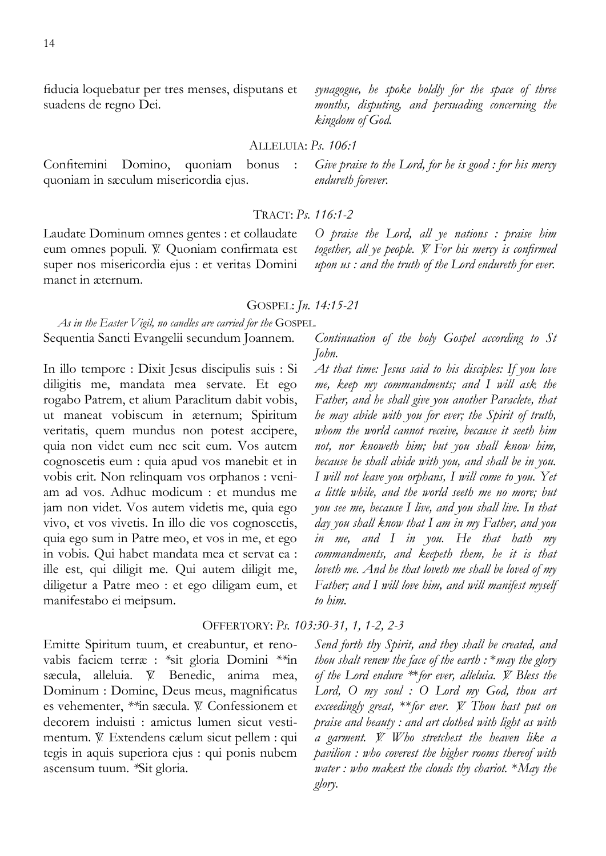fiducia loquebatur per tres menses, disputans et suadens de regno Dei.

Confitemini Domino, quoniam bonus : quoniam in sæculum misericordia ejus.

Laudate Dominum omnes gentes : et collaudate eum omnes populi. V Quoniam confirmata est super nos misericordia ejus : et veritas Domini manet in æternum.

*As in the Easter Vigil, no candles are carried for the* GOSPEL*.*  Sequentia Sancti Evangelii secundum Joannem.

In illo tempore : Dixit Jesus discipulis suis : Si diligitis me, mandata mea servate. Et ego rogabo Patrem, et alium Paraclitum dabit vobis, ut maneat vobiscum in æternum; Spiritum veritatis, quem mundus non potest accipere, quia non videt eum nec scit eum. Vos autem cognoscetis eum : quia apud vos manebit et in vobis erit. Non relinquam vos orphanos : veniam ad vos. Adhuc modicum : et mundus me jam non videt. Vos autem videtis me, quia ego vivo, et vos vivetis. In illo die vos cognoscetis, quia ego sum in Patre meo, et vos in me, et ego in vobis. Qui habet mandata mea et servat ea : ille est, qui diligit me. Qui autem diligit me, diligetur a Patre meo : et ego diligam eum, et manifestabo ei meipsum.

OFFERTORY: *Ps. 103:30-31, 1, 1-2, 2-3*

Emitte Spiritum tuum, et creabuntur, et renovabis faciem terræ : *\**sit gloria Domini *\*\**in sæcula, alleluia.  $\mathbb{V}$  Benedic, anima mea, Dominum : Domine, Deus meus, magnificatus es vehementer, \*\*in sæcula.  $V$  Confessionem et decorem induisti : amictus lumen sicut vestimentum.  $\mathbb{V}$  Extendens cælum sicut pellem : qui tegis in aquis superiora ejus : qui ponis nubem ascensum tuum. *\**Sit gloria.

GOSPEL: *Jn. 14:15-21*

*O praise the Lord, all ye nations : praise him together, all ye people. Y. For his mercy is confirmed upon us : and the truth of the Lord endureth for ever.* 

*Continuation of the holy Gospel according to St John.* 

*At that time: Jesus said to his disciples: If you love me, keep my commandments; and I will ask the Father, and he shall give you another Paraclete, that he may abide with you for ever; the Spirit of truth, whom the world cannot receive, because it seeth him not, nor knoweth him; but you shall know him, because he shall abide with you, and shall be in you. I will not leave you orphans, I will come to you. Yet a little while, and the world seeth me no more; but you see me, because I live, and you shall live. In that day you shall know that I am in my Father, and you in me, and I in you. He that hath my commandments, and keepeth them, he it is that loveth me. And he that loveth me shall be loved of my Father; and I will love him, and will manifest myself to him.* 

*Send forth thy Spirit, and they shall be created, and thou shalt renew the face of the earth :* \**may the glory of the Lord endure* \*\**for ever, alleluia. V. Bless the Lord, O my soul : O Lord my God, thou art exceedingly great,* \*\**for ever. W. Thou hast put on praise and beauty : and art clothed with light as with a garment.* = *Who stretchest the heaven like a pavilion : who coverest the higher rooms thereof with water : who makest the clouds thy chariot.* \**May the glory.* 

*Give praise to the Lord, for he is good : for his mercy endureth forever.* 

# TRACT: *Ps. 116:1-2*

*synagogue, he spoke boldly for the space of three months, disputing, and persuading concerning the kingdom of God.* 

# ALLELUIA: *Ps. 106:1*